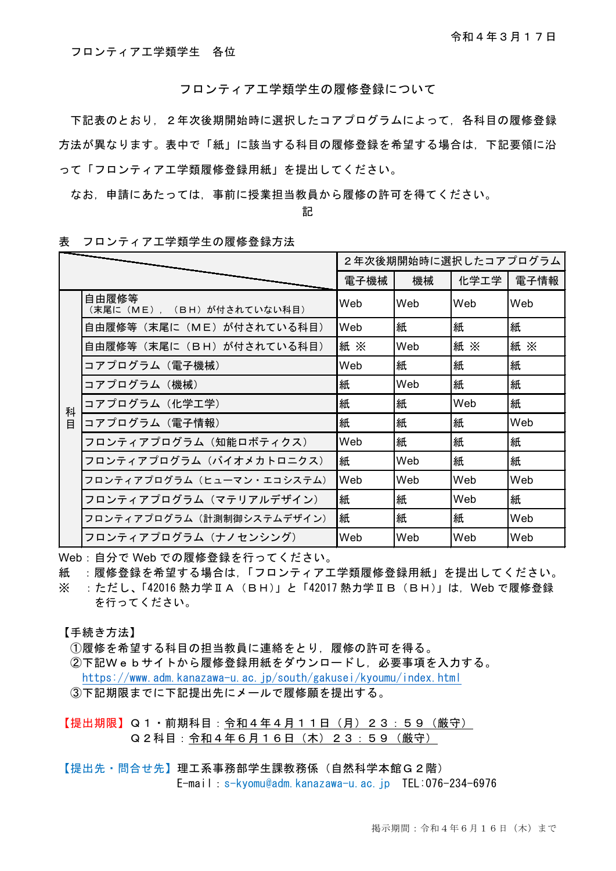フロンティア工学類学生 各位

フロンティア工学類学生の履修登録について

下記表のとおり,2年次後期開始時に選択したコアプログラムによって,各科目の履修登録 方法が異なります。表中で「紙」に該当する科目の履修登録を希望する場合は,下記要領に沿 って「フロンティア工学類履修登録用紙」を提出してください。

なお,申請にあたっては,事前に授業担当教員から履修の許可を得てください。

記

|   |                                    | 2年次後期開始時に選択したコアプログラム |     |      |      |
|---|------------------------------------|----------------------|-----|------|------|
|   |                                    | 電子機械                 | 機械  | 化学工学 | 電子情報 |
|   | 自由履修等<br>(末尾に(ME), (BH)が付されていない科目) | Web                  | Web | Web  | Web  |
|   | 自由履修等(末尾に(ME)が付されている科目)            | Web                  | 紙   | 紙    | 紙    |
|   | 自由履修等(末尾に(BH)が付されている科目)            | 紙※                   | Web | 紙 ×  | 紙※   |
|   | コアプログラム(電子機械)                      | Web                  | 紙   | 紙    | 紙    |
|   | コアプログラム(機械)                        | 紙                    | Web | 紙    | 紙    |
| 科 | コアプログラム(化学工学)                      | 紙                    | 紙   | Web  | 紙    |
| 目 | コアプログラム (電子情報)                     | 紙                    | 紙   | 紙    | Web  |
|   | フロンティアプログラム(知能ロボティクス)              | Web                  | 紙   | 紙    | 紙    |
|   | フロンティアプログラム(バイオメカトロニクス)            | 紙                    | Web | 紙    | 紙    |
|   | フロンティアプログラム(ヒューマン・エコシステム)          | Web                  | Web | Web  | Web  |
|   | フロンティアプログラム(マテリアルデザイン)             | 紙                    | 紙   | Web  | 紙    |
|   | フロンティアプログラム(計測制御システムデザイン)          | 紙                    | 紙   | 紙    | Web  |
|   | フロンティアプログラム(ナノセンシング)               | Web                  | Web | Web  | Web  |

表 フロンティア工学類学生の履修登録方法

Web:自分で Web での履修登録を行ってください。

紙 :履修登録を希望する場合は,「フロンティア工学類履修登録用紙」を提出してください。 ※ :ただし、「42016 熱力学ⅡA(BH)」と「42017 熱力学ⅡB(BH)」は,Web で履修登録 を行ってください。

【手続き方法】

①履修を希望する科目の担当教員に連絡をとり,履修の許可を得る。

②下記Webサイトから履修登録用紙をダウンロードし,必要事項を入力する。 <https://www.adm.kanazawa-u.ac.jp/south/gakusei/kyoumu/index.html> ③下記期限までに下記提出先にメールで履修願を提出する。

【提出期限】Q1·前期科目:令和4年4月11日(月)23:59(厳守) Q2科目:令和4年6月16日(木)23:59(厳守)

【提出先・問合せ先】理工系事務部学生課教務係(自然科学本館G2階) E-mail:s-kyomu@adm.kanazawa-u.ac.jp TEL:076-234-6976